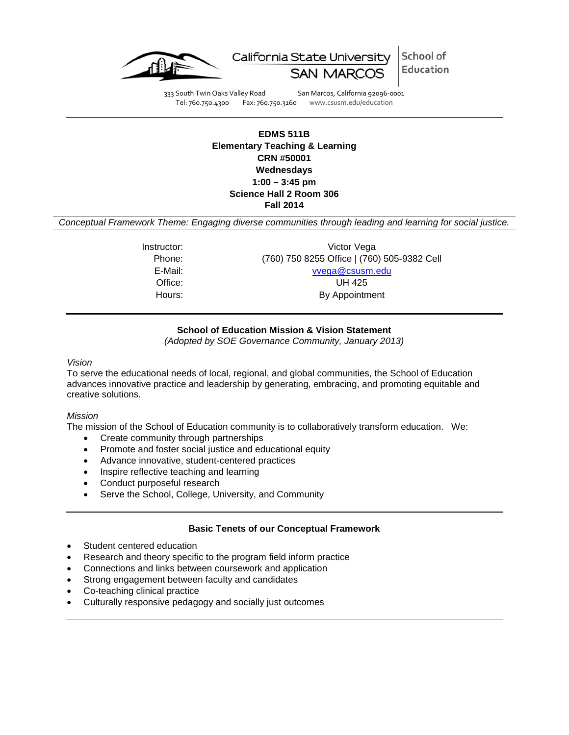



333 South Twin Oaks Valley Road San Marcos, California 92096-0001 Tel: 760.750.4300 Fax: 760.750.3160 www.csusm.edu/education

### **EDMS 511B Elementary Teaching & Learning CRN #50001 Wednesdays 1:00 – 3:45 pm Science Hall 2 Room 306 Fall 2014**

*Conceptual Framework Theme: Engaging diverse communities through leading and learning for social justice.*

| Victor Vega<br>Instructor:                            |  |
|-------------------------------------------------------|--|
| (760) 750 8255 Office   (760) 505-9382 Cell<br>Phone: |  |
| vvega@csusm.edu<br>E-Mail:                            |  |
| Office:<br>UH 425                                     |  |
| By Appointment<br>Hours:                              |  |

### **School of Education Mission & Vision Statement**

*(Adopted by SOE Governance Community, January 2013)*

#### *Vision*

To serve the educational needs of local, regional, and global communities, the School of Education advances innovative practice and leadership by generating, embracing, and promoting equitable and creative solutions.

#### *Mission*

The mission of the School of Education community is to collaboratively transform education. We:

- Create community through partnerships
- Promote and foster social justice and educational equity
- Advance innovative, student-centered practices
- Inspire reflective teaching and learning
- Conduct purposeful research
- Serve the School, College, University, and Community

#### **Basic Tenets of our Conceptual Framework**

- Student centered education
- Research and theory specific to the program field inform practice
- Connections and links between coursework and application
- Strong engagement between faculty and candidates
- Co-teaching clinical practice
- Culturally responsive pedagogy and socially just outcomes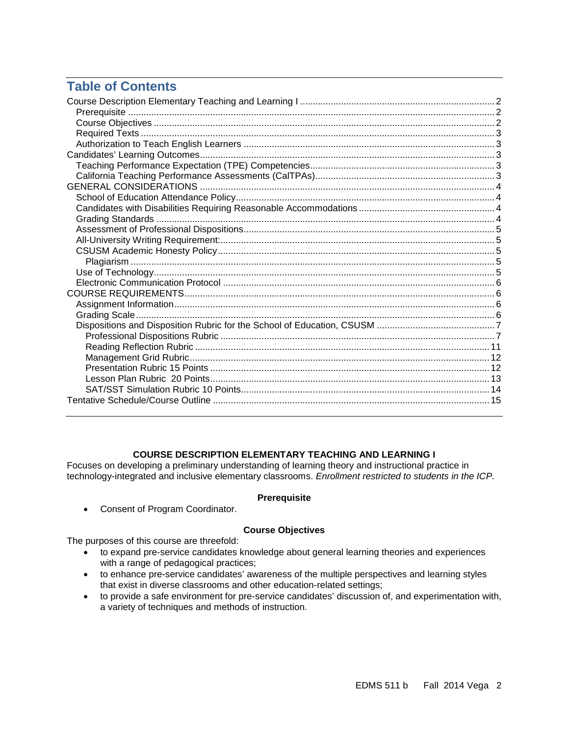# **Table of Contents**

#### **COURSE DESCRIPTION ELEMENTARY TEACHING AND LEARNING I**

<span id="page-1-0"></span>Focuses on developing a preliminary understanding of learning theory and instructional practice in technology-integrated and inclusive elementary classrooms. *Enrollment restricted to students in the ICP.*

#### **Prerequisite**

<span id="page-1-1"></span>• Consent of Program Coordinator.

#### **Course Objectives**

<span id="page-1-2"></span>The purposes of this course are threefold:

- to expand pre-service candidates knowledge about general learning theories and experiences with a range of pedagogical practices;
- to enhance pre-service candidates' awareness of the multiple perspectives and learning styles that exist in diverse classrooms and other education-related settings;
- <span id="page-1-3"></span>• to provide a safe environment for pre-service candidates' discussion of, and experimentation with, a variety of techniques and methods of instruction.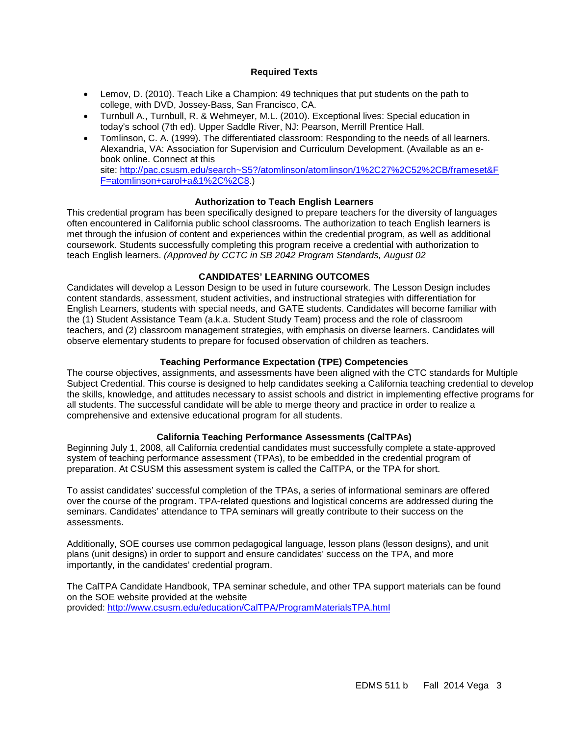#### **Required Texts**

- Lemov, D. (2010). Teach Like a Champion: 49 techniques that put students on the path to college, with DVD, Jossey-Bass, San Francisco, CA.
- Turnbull A., Turnbull, R. & Wehmeyer, M.L. (2010). Exceptional lives: Special education in today's school (7th ed). Upper Saddle River, NJ: Pearson, Merrill Prentice Hall.
- Tomlinson, C. A. (1999). The differentiated classroom: Responding to the needs of all learners. Alexandria, VA: Association for Supervision and Curriculum Development. (Available as an ebook online. Connect at this site: [http://pac.csusm.edu/search~S5?/atomlinson/atomlinson/1%2C27%2C52%2CB/frameset&F](http://pac.csusm.edu/search~S5?/atomlinson/atomlinson/1%2C27%2C52%2CB/frameset&FF=atomlinson+carol+a&1%2C%2C8) [F=atomlinson+carol+a&1%2C%2C8.](http://pac.csusm.edu/search~S5?/atomlinson/atomlinson/1%2C27%2C52%2CB/frameset&FF=atomlinson+carol+a&1%2C%2C8))

#### **Authorization to Teach English Learners**

<span id="page-2-0"></span>This credential program has been specifically designed to prepare teachers for the diversity of languages often encountered in California public school classrooms. The authorization to teach English learners is met through the infusion of content and experiences within the credential program, as well as additional coursework. Students successfully completing this program receive a credential with authorization to teach English learners. *(Approved by CCTC in SB 2042 Program Standards, August 02*

#### **CANDIDATES' LEARNING OUTCOMES**

<span id="page-2-1"></span>Candidates will develop a Lesson Design to be used in future coursework. The Lesson Design includes content standards, assessment, student activities, and instructional strategies with differentiation for English Learners, students with special needs, and GATE students. Candidates will become familiar with the (1) Student Assistance Team (a.k.a. Student Study Team) process and the role of classroom teachers, and (2) classroom management strategies, with emphasis on diverse learners. Candidates will observe elementary students to prepare for focused observation of children as teachers.

#### **Teaching Performance Expectation (TPE) Competencies**

<span id="page-2-2"></span>The course objectives, assignments, and assessments have been aligned with the CTC standards for Multiple Subject Credential. This course is designed to help candidates seeking a California teaching credential to develop the skills, knowledge, and attitudes necessary to assist schools and district in implementing effective programs for all students. The successful candidate will be able to merge theory and practice in order to realize a comprehensive and extensive educational program for all students.

#### **California Teaching Performance Assessments (CalTPAs)**

<span id="page-2-3"></span>Beginning July 1, 2008, all California credential candidates must successfully complete a state-approved system of teaching performance assessment (TPAs), to be embedded in the credential program of preparation. At CSUSM this assessment system is called the CalTPA, or the TPA for short.

To assist candidates' successful completion of the TPAs, a series of informational seminars are offered over the course of the program. TPA-related questions and logistical concerns are addressed during the seminars. Candidates' attendance to TPA seminars will greatly contribute to their success on the assessments.

Additionally, SOE courses use common pedagogical language, lesson plans (lesson designs), and unit plans (unit designs) in order to support and ensure candidates' success on the TPA, and more importantly, in the candidates' credential program.

<span id="page-2-4"></span>The CalTPA Candidate Handbook, TPA seminar schedule, and other TPA support materials can be found on the SOE website provided at the website provided:<http://www.csusm.edu/education/CalTPA/ProgramMaterialsTPA.html>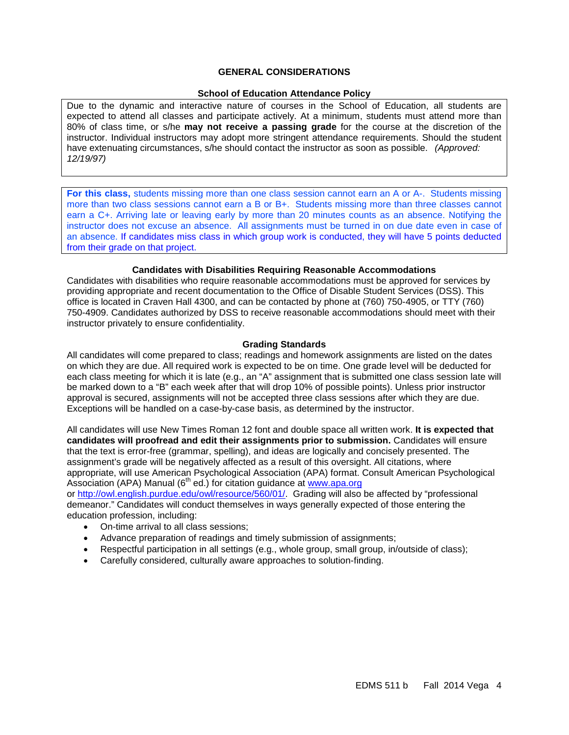#### **GENERAL CONSIDERATIONS**

#### **School of Education Attendance Policy**

<span id="page-3-0"></span>Due to the dynamic and interactive nature of courses in the School of Education, all students are expected to attend all classes and participate actively. At a minimum, students must attend more than 80% of class time, or s/he **may not receive a passing grade** for the course at the discretion of the instructor. Individual instructors may adopt more stringent attendance requirements. Should the student have extenuating circumstances, s/he should contact the instructor as soon as possible. *(Approved: 12/19/97)*

**For this class,** students missing more than one class session cannot earn an A or A-. Students missing more than two class sessions cannot earn a B or B+. Students missing more than three classes cannot earn a C+. Arriving late or leaving early by more than 20 minutes counts as an absence. Notifying the instructor does not excuse an absence. All assignments must be turned in on due date even in case of an absence. If candidates miss class in which group work is conducted, they will have 5 points deducted from their grade on that project.

#### **Candidates with Disabilities Requiring Reasonable Accommodations**

<span id="page-3-1"></span>Candidates with disabilities who require reasonable accommodations must be approved for services by providing appropriate and recent documentation to the Office of Disable Student Services (DSS). This office is located in Craven Hall 4300, and can be contacted by phone at (760) 750-4905, or TTY (760) 750-4909. Candidates authorized by DSS to receive reasonable accommodations should meet with their instructor privately to ensure confidentiality.

#### **Grading Standards**

<span id="page-3-2"></span>All candidates will come prepared to class; readings and homework assignments are listed on the dates on which they are due. All required work is expected to be on time. One grade level will be deducted for each class meeting for which it is late (e.g., an "A" assignment that is submitted one class session late will be marked down to a "B" each week after that will drop 10% of possible points). Unless prior instructor approval is secured, assignments will not be accepted three class sessions after which they are due. Exceptions will be handled on a case-by-case basis, as determined by the instructor.

All candidates will use New Times Roman 12 font and double space all written work. **It is expected that candidates will proofread and edit their assignments prior to submission.** Candidates will ensure that the text is error-free (grammar, spelling), and ideas are logically and concisely presented. The assignment's grade will be negatively affected as a result of this oversight. All citations, where appropriate, will use American Psychological Association (APA) format. Consult American Psychological Association (APA) Manual ( $6<sup>th</sup>$  ed.) for citation guidance at [www.apa.org](http://www.apa.org/) or [http://owl.english.purdue.edu/owl/resource/560/01/.](http://owl.english.purdue.edu/owl/resource/560/01/) Grading will also be affected by "professional demeanor." Candidates will conduct themselves in ways generally expected of those entering the education profession, including:

- On-time arrival to all class sessions;
- Advance preparation of readings and timely submission of assignments;
- Respectful participation in all settings (e.g., whole group, small group, in/outside of class);
- <span id="page-3-3"></span>• Carefully considered, culturally aware approaches to solution-finding.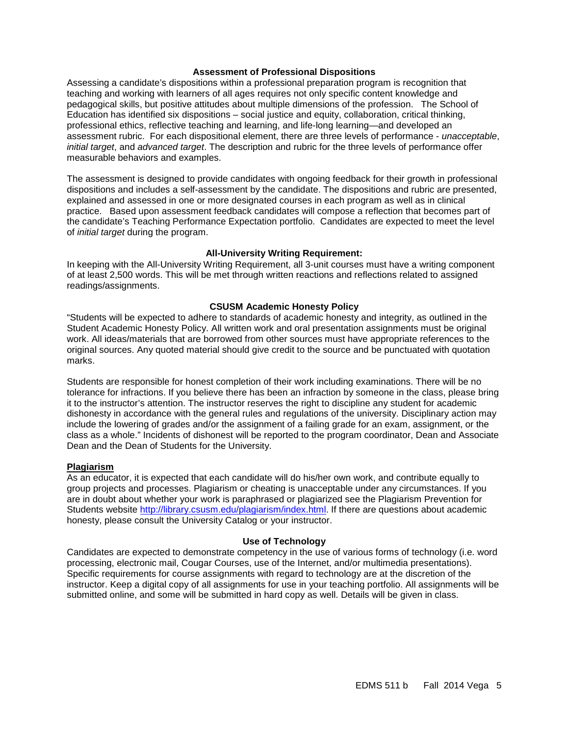#### **Assessment of Professional Dispositions**

Assessing a candidate's dispositions within a professional preparation program is recognition that teaching and working with learners of all ages requires not only specific content knowledge and pedagogical skills, but positive attitudes about multiple dimensions of the profession. The School of Education has identified six dispositions – social justice and equity, collaboration, critical thinking, professional ethics, reflective teaching and learning, and life-long learning—and developed an assessment rubric. For each dispositional element, there are three levels of performance - *unacceptable*, *initial target*, and *advanced target*. The description and rubric for the three levels of performance offer measurable behaviors and examples.

The assessment is designed to provide candidates with ongoing feedback for their growth in professional dispositions and includes a self-assessment by the candidate. The dispositions and rubric are presented, explained and assessed in one or more designated courses in each program as well as in clinical practice. Based upon assessment feedback candidates will compose a reflection that becomes part of the candidate's Teaching Performance Expectation portfolio. Candidates are expected to meet the level of *initial target* during the program.

#### **All-University Writing Requirement:**

<span id="page-4-0"></span>In keeping with the All-University Writing Requirement, all 3-unit courses must have a writing component of at least 2,500 words. This will be met through written reactions and reflections related to assigned readings/assignments.

#### **CSUSM Academic Honesty Policy**

<span id="page-4-1"></span>"Students will be expected to adhere to standards of academic honesty and integrity, as outlined in the Student Academic Honesty Policy. All written work and oral presentation assignments must be original work. All ideas/materials that are borrowed from other sources must have appropriate references to the original sources. Any quoted material should give credit to the source and be punctuated with quotation marks.

Students are responsible for honest completion of their work including examinations. There will be no tolerance for infractions. If you believe there has been an infraction by someone in the class, please bring it to the instructor's attention. The instructor reserves the right to discipline any student for academic dishonesty in accordance with the general rules and regulations of the university. Disciplinary action may include the lowering of grades and/or the assignment of a failing grade for an exam, assignment, or the class as a whole." Incidents of dishonest will be reported to the program coordinator, Dean and Associate Dean and the Dean of Students for the University.

#### <span id="page-4-2"></span>**Plagiarism**

As an educator, it is expected that each candidate will do his/her own work, and contribute equally to group projects and processes. Plagiarism or cheating is unacceptable under any circumstances. If you are in doubt about whether your work is paraphrased or plagiarized see the Plagiarism Prevention for Students website [http://library.csusm.edu/plagiarism/index.html.](http://library.csusm.edu/plagiarism/index.html) If there are questions about academic honesty, please consult the University Catalog or your instructor.

#### **Use of Technology**

<span id="page-4-4"></span><span id="page-4-3"></span>Candidates are expected to demonstrate competency in the use of various forms of technology (i.e. word processing, electronic mail, Cougar Courses, use of the Internet, and/or multimedia presentations). Specific requirements for course assignments with regard to technology are at the discretion of the instructor. Keep a digital copy of all assignments for use in your teaching portfolio. All assignments will be submitted online, and some will be submitted in hard copy as well. Details will be given in class.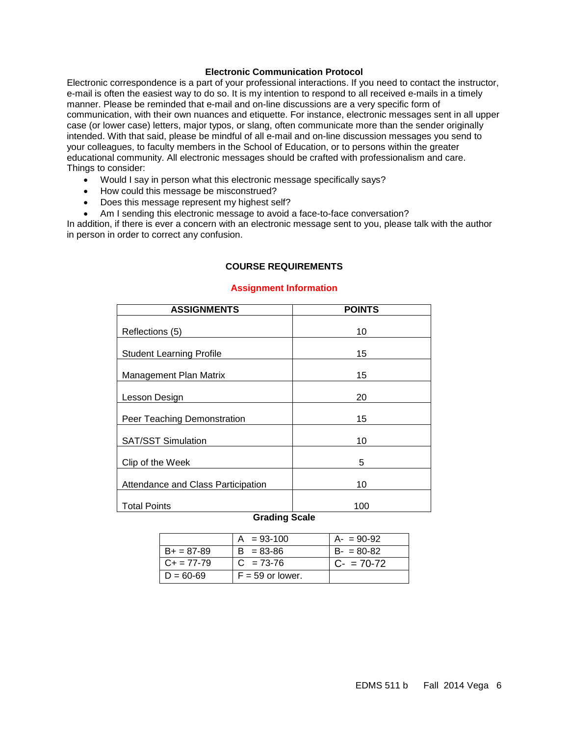#### **Electronic Communication Protocol**

Electronic correspondence is a part of your professional interactions. If you need to contact the instructor, e-mail is often the easiest way to do so. It is my intention to respond to all received e-mails in a timely manner. Please be reminded that e-mail and on-line discussions are a very specific form of communication, with their own nuances and etiquette. For instance, electronic messages sent in all upper case (or lower case) letters, major typos, or slang, often communicate more than the sender originally intended. With that said, please be mindful of all e-mail and on-line discussion messages you send to your colleagues, to faculty members in the School of Education, or to persons within the greater educational community. All electronic messages should be crafted with professionalism and care. Things to consider:

- Would I say in person what this electronic message specifically says?
- How could this message be misconstrued?
- Does this message represent my highest self?
- Am I sending this electronic message to avoid a face-to-face conversation?

<span id="page-5-0"></span>In addition, if there is ever a concern with an electronic message sent to you, please talk with the author in person in order to correct any confusion.

#### **COURSE REQUIREMENTS**

#### **Assignment Information**

<span id="page-5-1"></span>

| <b>ASSIGNMENTS</b>                                                              | <b>POINTS</b> |
|---------------------------------------------------------------------------------|---------------|
| Reflections (5)                                                                 | 10            |
|                                                                                 |               |
| <b>Student Learning Profile</b>                                                 | 15            |
| Management Plan Matrix                                                          | 15            |
| Lesson Design                                                                   | 20            |
| Peer Teaching Demonstration                                                     | 15            |
| <b>SAT/SST Simulation</b>                                                       | 10            |
| Clip of the Week                                                                | 5             |
| Attendance and Class Participation                                              | 10            |
| Total Points<br>$\mathbf{A}$ and $\mathbf{B}$ and $\mathbf{A}$ and $\mathbf{A}$ | 100           |

### **Grading Scale**

<span id="page-5-2"></span>

|                 | $A = 93-100$       | $A - 90 - 92$ |
|-----------------|--------------------|---------------|
| $B+ = 87-89$    | $B = 83 - 86$      | $B - 80 - 82$ |
| $C_{+}$ = 77-79 | $C = 73-76$        | $C = 70-72$   |
| $D = 60 - 69$   | $F = 59$ or lower. |               |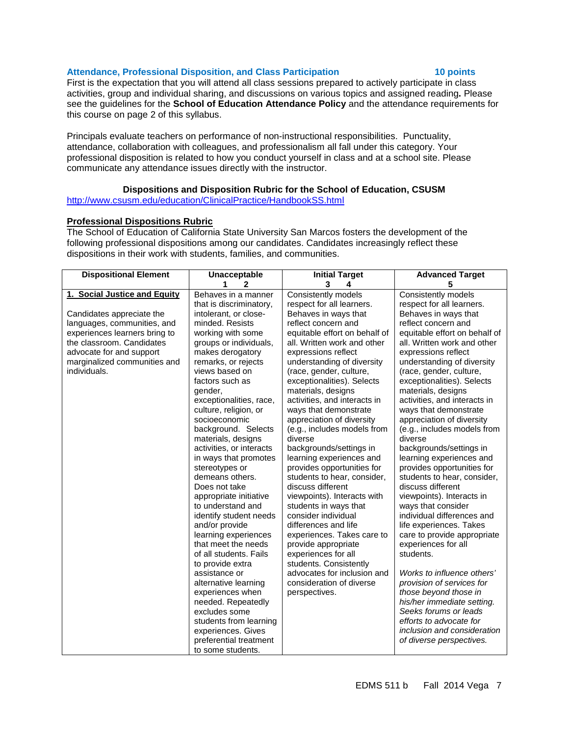#### Attendance, Professional Disposition, and Class Participation **10 points**

First is the expectation that you will attend all class sessions prepared to actively participate in class activities, group and individual sharing, and discussions on various topics and assigned reading**.** Please see the guidelines for the **School of Education Attendance Policy** and the attendance requirements for this course on page 2 of this syllabus.

Principals evaluate teachers on performance of non-instructional responsibilities. Punctuality, attendance, collaboration with colleagues, and professionalism all fall under this category. Your professional disposition is related to how you conduct yourself in class and at a school site. Please communicate any attendance issues directly with the instructor.

### **Dispositions and Disposition Rubric for the School of Education, CSUSM**

<span id="page-6-0"></span><http://www.csusm.edu/education/ClinicalPractice/HandbookSS.html>

#### <span id="page-6-1"></span>**Professional Dispositions Rubric**

The School of Education of California State University San Marcos fosters the development of the following professional dispositions among our candidates. Candidates increasingly reflect these dispositions in their work with students, families, and communities.

| <b>Dispositional Element</b>  | <b>Unacceptable</b>      | <b>Initial Target</b>         | <b>Advanced Target</b>        |
|-------------------------------|--------------------------|-------------------------------|-------------------------------|
|                               | 1<br>$\mathbf{2}$        | 3<br>4                        | 5                             |
| 1. Social Justice and Equity  | Behaves in a manner      | Consistently models           | Consistently models           |
|                               | that is discriminatory,  | respect for all learners.     | respect for all learners.     |
| Candidates appreciate the     | intolerant, or close-    | Behaves in ways that          | Behaves in ways that          |
| languages, communities, and   | minded, Resists          | reflect concern and           | reflect concern and           |
| experiences learners bring to | working with some        | equitable effort on behalf of | equitable effort on behalf of |
| the classroom. Candidates     | groups or individuals,   | all. Written work and other   | all. Written work and other   |
| advocate for and support      | makes derogatory         | expressions reflect           | expressions reflect           |
| marginalized communities and  | remarks, or rejects      | understanding of diversity    | understanding of diversity    |
| individuals.                  | views based on           | (race, gender, culture,       | (race, gender, culture,       |
|                               | factors such as          | exceptionalities). Selects    | exceptionalities). Selects    |
|                               | gender,                  | materials, designs            | materials, designs            |
|                               | exceptionalities, race,  | activities, and interacts in  | activities, and interacts in  |
|                               | culture, religion, or    | ways that demonstrate         | ways that demonstrate         |
|                               | socioeconomic            | appreciation of diversity     | appreciation of diversity     |
|                               | background. Selects      | (e.g., includes models from   | (e.g., includes models from   |
|                               | materials, designs       | diverse                       | diverse                       |
|                               | activities, or interacts | backgrounds/settings in       | backgrounds/settings in       |
|                               | in ways that promotes    | learning experiences and      | learning experiences and      |
|                               | stereotypes or           | provides opportunities for    | provides opportunities for    |
|                               | demeans others.          | students to hear, consider,   | students to hear, consider,   |
|                               | Does not take            | discuss different             | discuss different             |
|                               | appropriate initiative   | viewpoints). Interacts with   | viewpoints). Interacts in     |
|                               | to understand and        | students in ways that         | ways that consider            |
|                               | identify student needs   | consider individual           | individual differences and    |
|                               | and/or provide           | differences and life          | life experiences. Takes       |
|                               | learning experiences     | experiences. Takes care to    | care to provide appropriate   |
|                               | that meet the needs      | provide appropriate           | experiences for all           |
|                               | of all students. Fails   | experiences for all           | students.                     |
|                               | to provide extra         | students. Consistently        |                               |
|                               | assistance or            | advocates for inclusion and   | Works to influence others'    |
|                               | alternative learning     | consideration of diverse      | provision of services for     |
|                               | experiences when         | perspectives.                 | those beyond those in         |
|                               | needed. Repeatedly       |                               | his/her immediate setting.    |
|                               | excludes some            |                               | Seeks forums or leads         |
|                               | students from learning   |                               | efforts to advocate for       |
|                               | experiences. Gives       |                               | inclusion and consideration   |
|                               | preferential treatment   |                               | of diverse perspectives.      |
|                               | to some students.        |                               |                               |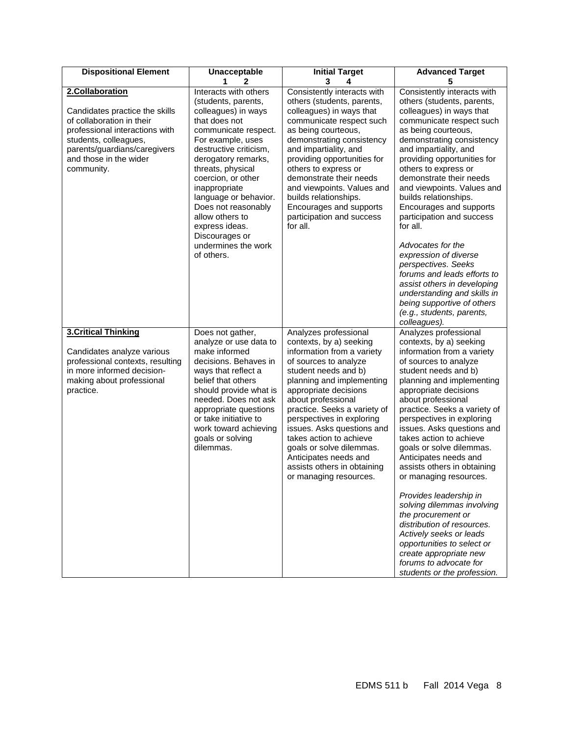| <b>Dispositional Element</b>                                                                                                                                                                                      | Unacceptable                                                                                                                                                                                                                                                                                                                                                                               | <b>Initial Target</b>                                                                                                                                                                                                                                                                                                                                                                                                                           | <b>Advanced Target</b>                                                                                                                                                                                                                                                                                                                                                                                                                                                                                                                                                                                                                                                                                                  |
|-------------------------------------------------------------------------------------------------------------------------------------------------------------------------------------------------------------------|--------------------------------------------------------------------------------------------------------------------------------------------------------------------------------------------------------------------------------------------------------------------------------------------------------------------------------------------------------------------------------------------|-------------------------------------------------------------------------------------------------------------------------------------------------------------------------------------------------------------------------------------------------------------------------------------------------------------------------------------------------------------------------------------------------------------------------------------------------|-------------------------------------------------------------------------------------------------------------------------------------------------------------------------------------------------------------------------------------------------------------------------------------------------------------------------------------------------------------------------------------------------------------------------------------------------------------------------------------------------------------------------------------------------------------------------------------------------------------------------------------------------------------------------------------------------------------------------|
|                                                                                                                                                                                                                   | 1<br>$\mathbf{2}$                                                                                                                                                                                                                                                                                                                                                                          | 3<br>4                                                                                                                                                                                                                                                                                                                                                                                                                                          | 5                                                                                                                                                                                                                                                                                                                                                                                                                                                                                                                                                                                                                                                                                                                       |
| 2.Collaboration<br>Candidates practice the skills<br>of collaboration in their<br>professional interactions with<br>students, colleagues,<br>parents/guardians/caregivers<br>and those in the wider<br>community. | Interacts with others<br>(students, parents,<br>colleagues) in ways<br>that does not<br>communicate respect.<br>For example, uses<br>destructive criticism,<br>derogatory remarks,<br>threats, physical<br>coercion, or other<br>inappropriate<br>language or behavior.<br>Does not reasonably<br>allow others to<br>express ideas.<br>Discourages or<br>undermines the work<br>of others. | Consistently interacts with<br>others (students, parents,<br>colleagues) in ways that<br>communicate respect such<br>as being courteous,<br>demonstrating consistency<br>and impartiality, and<br>providing opportunities for<br>others to express or<br>demonstrate their needs<br>and viewpoints. Values and<br>builds relationships.<br>Encourages and supports<br>participation and success<br>for all.                                     | Consistently interacts with<br>others (students, parents,<br>colleagues) in ways that<br>communicate respect such<br>as being courteous,<br>demonstrating consistency<br>and impartiality, and<br>providing opportunities for<br>others to express or<br>demonstrate their needs<br>and viewpoints. Values and<br>builds relationships.<br>Encourages and supports<br>participation and success<br>for all.<br>Advocates for the<br>expression of diverse<br>perspectives. Seeks<br>forums and leads efforts to<br>assist others in developing<br>understanding and skills in<br>being supportive of others<br>(e.g., students, parents,                                                                                |
| <b>3.Critical Thinking</b><br>Candidates analyze various<br>professional contexts, resulting<br>in more informed decision-<br>making about professional<br>practice.                                              | Does not gather,<br>analyze or use data to<br>make informed<br>decisions. Behaves in<br>ways that reflect a<br>belief that others<br>should provide what is<br>needed. Does not ask<br>appropriate questions<br>or take initiative to<br>work toward achieving<br>goals or solving<br>dilemmas.                                                                                            | Analyzes professional<br>contexts, by a) seeking<br>information from a variety<br>of sources to analyze<br>student needs and b)<br>planning and implementing<br>appropriate decisions<br>about professional<br>practice. Seeks a variety of<br>perspectives in exploring<br>issues. Asks questions and<br>takes action to achieve<br>goals or solve dilemmas.<br>Anticipates needs and<br>assists others in obtaining<br>or managing resources. | colleagues).<br>Analyzes professional<br>contexts, by a) seeking<br>information from a variety<br>of sources to analyze<br>student needs and b)<br>planning and implementing<br>appropriate decisions<br>about professional<br>practice. Seeks a variety of<br>perspectives in exploring<br>issues. Asks questions and<br>takes action to achieve<br>goals or solve dilemmas.<br>Anticipates needs and<br>assists others in obtaining<br>or managing resources.<br>Provides leadership in<br>solving dilemmas involving<br>the procurement or<br>distribution of resources.<br>Actively seeks or leads<br>opportunities to select or<br>create appropriate new<br>forums to advocate for<br>students or the profession. |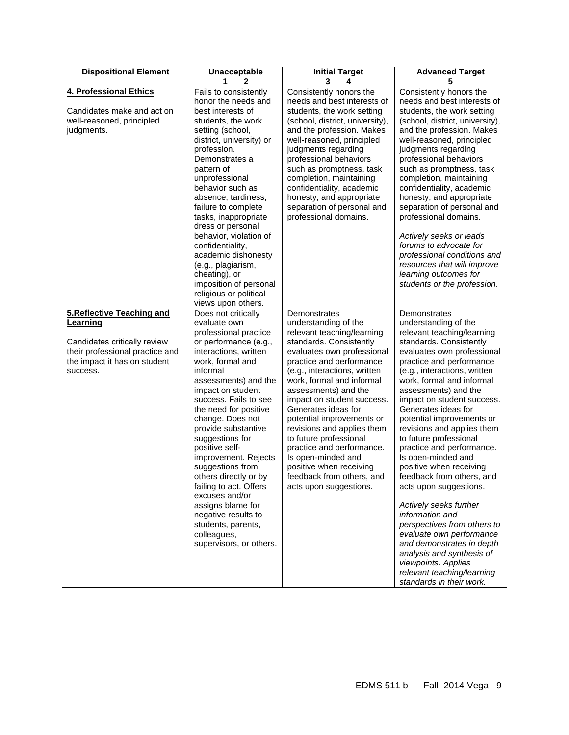| <b>Dispositional Element</b>                                                                                                                                | <b>Unacceptable</b>                                                                                                                                                                                                                                                                                                                                                                                                                                                                                                                                        | <b>Initial Target</b>                                                                                                                                                                                                                                                                                                                                                                                                                                                                                                       | <b>Advanced Target</b>                                                                                                                                                                                                                                                                                                                                                                                                                                                                                                                                                                                                                                                                                                                                                         |
|-------------------------------------------------------------------------------------------------------------------------------------------------------------|------------------------------------------------------------------------------------------------------------------------------------------------------------------------------------------------------------------------------------------------------------------------------------------------------------------------------------------------------------------------------------------------------------------------------------------------------------------------------------------------------------------------------------------------------------|-----------------------------------------------------------------------------------------------------------------------------------------------------------------------------------------------------------------------------------------------------------------------------------------------------------------------------------------------------------------------------------------------------------------------------------------------------------------------------------------------------------------------------|--------------------------------------------------------------------------------------------------------------------------------------------------------------------------------------------------------------------------------------------------------------------------------------------------------------------------------------------------------------------------------------------------------------------------------------------------------------------------------------------------------------------------------------------------------------------------------------------------------------------------------------------------------------------------------------------------------------------------------------------------------------------------------|
|                                                                                                                                                             | 1<br>$\mathbf{2}$                                                                                                                                                                                                                                                                                                                                                                                                                                                                                                                                          | 3<br>4                                                                                                                                                                                                                                                                                                                                                                                                                                                                                                                      | 5                                                                                                                                                                                                                                                                                                                                                                                                                                                                                                                                                                                                                                                                                                                                                                              |
| 4. Professional Ethics<br>Candidates make and act on<br>well-reasoned, principled<br>judgments.                                                             | Fails to consistently<br>honor the needs and<br>best interests of<br>students, the work<br>setting (school,<br>district, university) or<br>profession.<br>Demonstrates a<br>pattern of<br>unprofessional<br>behavior such as<br>absence, tardiness,<br>failure to complete<br>tasks, inappropriate<br>dress or personal<br>behavior, violation of<br>confidentiality,<br>academic dishonesty<br>(e.g., plagiarism,<br>cheating), or<br>imposition of personal                                                                                              | Consistently honors the<br>needs and best interests of<br>students, the work setting<br>(school, district, university),<br>and the profession. Makes<br>well-reasoned, principled<br>judgments regarding<br>professional behaviors<br>such as promptness, task<br>completion, maintaining<br>confidentiality, academic<br>honesty, and appropriate<br>separation of personal and<br>professional domains.                                                                                                                   | Consistently honors the<br>needs and best interests of<br>students, the work setting<br>(school, district, university),<br>and the profession. Makes<br>well-reasoned, principled<br>judgments regarding<br>professional behaviors<br>such as promptness, task<br>completion, maintaining<br>confidentiality, academic<br>honesty, and appropriate<br>separation of personal and<br>professional domains.<br>Actively seeks or leads<br>forums to advocate for<br>professional conditions and<br>resources that will improve<br>learning outcomes for<br>students or the profession.                                                                                                                                                                                           |
|                                                                                                                                                             | religious or political                                                                                                                                                                                                                                                                                                                                                                                                                                                                                                                                     |                                                                                                                                                                                                                                                                                                                                                                                                                                                                                                                             |                                                                                                                                                                                                                                                                                                                                                                                                                                                                                                                                                                                                                                                                                                                                                                                |
|                                                                                                                                                             | views upon others.                                                                                                                                                                                                                                                                                                                                                                                                                                                                                                                                         |                                                                                                                                                                                                                                                                                                                                                                                                                                                                                                                             |                                                                                                                                                                                                                                                                                                                                                                                                                                                                                                                                                                                                                                                                                                                                                                                |
| <b>5.Reflective Teaching and</b><br>Learning<br>Candidates critically review<br>their professional practice and<br>the impact it has on student<br>success. | Does not critically<br>evaluate own<br>professional practice<br>or performance (e.g.,<br>interactions, written<br>work, formal and<br>informal<br>assessments) and the<br>impact on student<br>success. Fails to see<br>the need for positive<br>change. Does not<br>provide substantive<br>suggestions for<br>positive self-<br>improvement. Rejects<br>suggestions from<br>others directly or by<br>failing to act. Offers<br>excuses and/or<br>assigns blame for<br>negative results to<br>students, parents,<br>colleagues,<br>supervisors, or others. | Demonstrates<br>understanding of the<br>relevant teaching/learning<br>standards. Consistently<br>evaluates own professional<br>practice and performance<br>(e.g., interactions, written<br>work, formal and informal<br>assessments) and the<br>impact on student success.<br>Generates ideas for<br>potential improvements or<br>revisions and applies them<br>to future professional<br>practice and performance.<br>Is open-minded and<br>positive when receiving<br>feedback from others, and<br>acts upon suggestions. | Demonstrates<br>understanding of the<br>relevant teaching/learning<br>standards. Consistently<br>evaluates own professional<br>practice and performance<br>(e.g., interactions, written<br>work, formal and informal<br>assessments) and the<br>impact on student success.<br>Generates ideas for<br>potential improvements or<br>revisions and applies them<br>to future professional<br>practice and performance.<br>Is open-minded and<br>positive when receiving<br>feedback from others, and<br>acts upon suggestions.<br>Actively seeks further<br>information and<br>perspectives from others to<br>evaluate own performance<br>and demonstrates in depth<br>analysis and synthesis of<br>viewpoints. Applies<br>relevant teaching/learning<br>standards in their work. |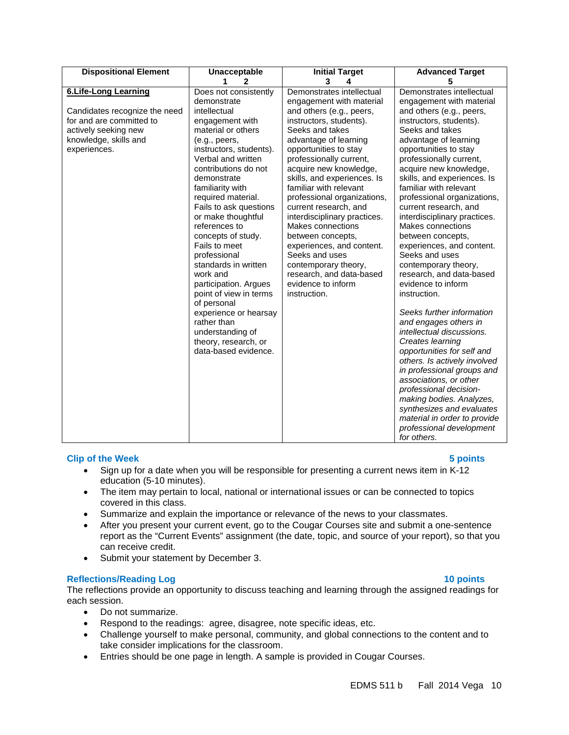| <b>Dispositional Element</b>                                                                                                                              | <b>Unacceptable</b><br>1<br>$\mathbf{2}$                                                                                                                                                                                                                                                                                                                                                                     | <b>Initial Target</b><br>3<br>4                                                                                                                                                                                                                                                                                                                                                                                                                                                                                                      | <b>Advanced Target</b><br>5                                                                                                                                                                                                                                                                                                                                                                                                                                                                                                          |
|-----------------------------------------------------------------------------------------------------------------------------------------------------------|--------------------------------------------------------------------------------------------------------------------------------------------------------------------------------------------------------------------------------------------------------------------------------------------------------------------------------------------------------------------------------------------------------------|--------------------------------------------------------------------------------------------------------------------------------------------------------------------------------------------------------------------------------------------------------------------------------------------------------------------------------------------------------------------------------------------------------------------------------------------------------------------------------------------------------------------------------------|--------------------------------------------------------------------------------------------------------------------------------------------------------------------------------------------------------------------------------------------------------------------------------------------------------------------------------------------------------------------------------------------------------------------------------------------------------------------------------------------------------------------------------------|
| <b>6.Life-Long Learning</b><br>Candidates recognize the need<br>for and are committed to<br>actively seeking new<br>knowledge, skills and<br>experiences. | Does not consistently<br>demonstrate<br>intellectual<br>engagement with<br>material or others<br>(e.g., peers,<br>instructors, students).<br>Verbal and written<br>contributions do not<br>demonstrate<br>familiarity with<br>required material.<br>Fails to ask questions<br>or make thoughtful<br>references to<br>concepts of study.<br>Fails to meet<br>professional<br>standards in written<br>work and | Demonstrates intellectual<br>engagement with material<br>and others (e.g., peers,<br>instructors, students).<br>Seeks and takes<br>advantage of learning<br>opportunities to stay<br>professionally current,<br>acquire new knowledge,<br>skills, and experiences. Is<br>familiar with relevant<br>professional organizations,<br>current research, and<br>interdisciplinary practices.<br>Makes connections<br>between concepts,<br>experiences, and content.<br>Seeks and uses<br>contemporary theory,<br>research, and data-based | Demonstrates intellectual<br>engagement with material<br>and others (e.g., peers,<br>instructors, students).<br>Seeks and takes<br>advantage of learning<br>opportunities to stay<br>professionally current,<br>acquire new knowledge,<br>skills, and experiences. Is<br>familiar with relevant<br>professional organizations,<br>current research, and<br>interdisciplinary practices.<br>Makes connections<br>between concepts,<br>experiences, and content.<br>Seeks and uses<br>contemporary theory,<br>research, and data-based |
|                                                                                                                                                           | participation. Argues<br>point of view in terms<br>of personal<br>experience or hearsay<br>rather than<br>understanding of<br>theory, research, or<br>data-based evidence.                                                                                                                                                                                                                                   | evidence to inform<br>instruction.                                                                                                                                                                                                                                                                                                                                                                                                                                                                                                   | evidence to inform<br>instruction.<br>Seeks further information<br>and engages others in<br>intellectual discussions.<br>Creates learning<br>opportunities for self and<br>others. Is actively involved<br>in professional groups and<br>associations, or other<br>professional decision-<br>making bodies. Analyzes,<br>synthesizes and evaluates<br>material in order to provide<br>professional development<br>for others.                                                                                                        |

#### **Clip of the Week 5 points**

- Sign up for a date when you will be responsible for presenting a current news item in K-12 education (5-10 minutes).
- The item may pertain to local, national or international issues or can be connected to topics covered in this class.
- Summarize and explain the importance or relevance of the news to your classmates.
- After you present your current event, go to the Cougar Courses site and submit a one-sentence report as the "Current Events" assignment (the date, topic, and source of your report), so that you can receive credit.
- Submit your statement by December 3.

#### **Reflections/Reading Log 10 points**

The reflections provide an opportunity to discuss teaching and learning through the assigned readings for each session.

- Do not summarize.
- Respond to the readings: agree, disagree, note specific ideas, etc.
- Challenge yourself to make personal, community, and global connections to the content and to take consider implications for the classroom.
- Entries should be one page in length. A sample is provided in Cougar Courses.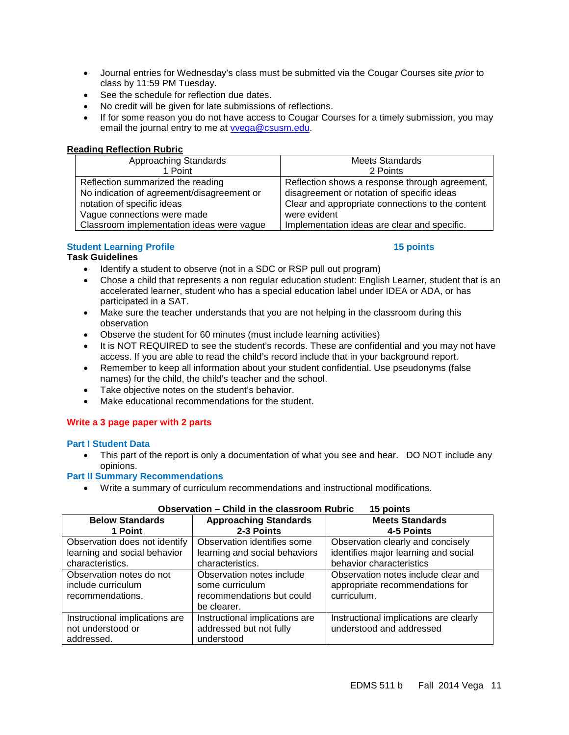- Journal entries for Wednesday's class must be submitted via the Cougar Courses site *prior* to class by 11:59 PM Tuesday.
- See the schedule for reflection due dates.
- No credit will be given for late submissions of reflections.
- If for some reason you do not have access to Cougar Courses for a timely submission, you may email the journal entry to me at [vvega@csusm.edu.](mailto:vvega@csusm.edu)

#### <span id="page-10-0"></span>**Reading Reflection Rubric**

| Approaching Standards                      | <b>Meets Standards</b>                           |
|--------------------------------------------|--------------------------------------------------|
| 1 Point                                    | 2 Points                                         |
| Reflection summarized the reading          | Reflection shows a response through agreement,   |
| No indication of agreement/disagreement or | disagreement or notation of specific ideas       |
| notation of specific ideas                 | Clear and appropriate connections to the content |
| Vague connections were made                | were evident                                     |
| Classroom implementation ideas were vague  | Implementation ideas are clear and specific.     |

### **Student Learning Profile 15 points** 15 points

#### **Task Guidelines**

- Identify a student to observe (not in a SDC or RSP pull out program)
- Chose a child that represents a non regular education student: English Learner, student that is an accelerated learner, student who has a special education label under IDEA or ADA, or has participated in a SAT.
- Make sure the teacher understands that you are not helping in the classroom during this observation
- Observe the student for 60 minutes (must include learning activities)
- It is NOT REQUIRED to see the student's records. These are confidential and you may not have access. If you are able to read the child's record include that in your background report.
- Remember to keep all information about your student confidential. Use pseudonyms (false names) for the child, the child's teacher and the school.
- Take objective notes on the student's behavior.
- Make educational recommendations for the student.

#### **Write a 3 page paper with 2 parts**

#### **Part I Student Data**

This part of the report is only a documentation of what you see and hear. DO NOT include any opinions.

#### **Part II Summary Recommendations**

• Write a summary of curriculum recommendations and instructional modifications.

| орэсгистоп<br><u>UNIN IN WILL GROOT UU IN WUNTU</u><br>טווועט ט |                                |                                        |  |
|-----------------------------------------------------------------|--------------------------------|----------------------------------------|--|
| <b>Below Standards</b>                                          | <b>Approaching Standards</b>   | <b>Meets Standards</b>                 |  |
| 1 Point                                                         | 2-3 Points                     | 4-5 Points                             |  |
| Observation does not identify                                   | Observation identifies some    | Observation clearly and concisely      |  |
| learning and social behavior                                    | learning and social behaviors  | identifies major learning and social   |  |
| characteristics.                                                | characteristics.               | behavior characteristics               |  |
| Observation notes do not                                        | Observation notes include      | Observation notes include clear and    |  |
| include curriculum                                              | some curriculum                | appropriate recommendations for        |  |
| recommendations.                                                | recommendations but could      | curriculum.                            |  |
|                                                                 | be clearer.                    |                                        |  |
| Instructional implications are                                  | Instructional implications are | Instructional implications are clearly |  |
| not understood or                                               | addressed but not fully        | understood and addressed               |  |
| addressed.                                                      | understood                     |                                        |  |

#### **Observation – Child in the classroom Rubric 15 points**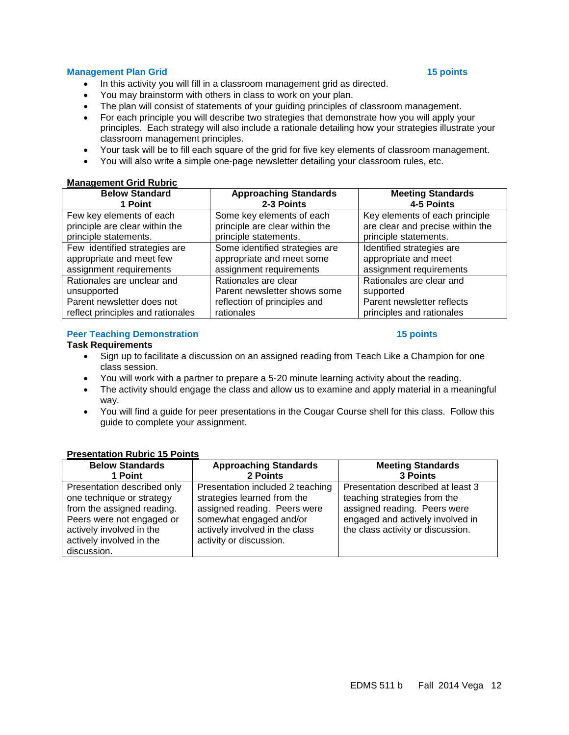#### **Management Plan Grid 15 points** 15 points and 15 points and 15 points and 15 points and 15 points and 15 points and 15 points and 15 points and 15 points and 15 points and 15 points and 15 points and 15 points and 15 poin

- In this activity you will fill in a classroom management grid as directed.
- You may brainstorm with others in class to work on your plan.
- The plan will consist of statements of your guiding principles of classroom management.
- For each principle you will describe two strategies that demonstrate how you will apply your principles. Each strategy will also include a rationale detailing how your strategies illustrate your classroom management principles.
- Your task will be to fill each square of the grid for five key elements of classroom management.
- You will also write a simple one-page newsletter detailing your classroom rules, etc.

#### <span id="page-11-0"></span>**Management Grid Rubric**

| <b>Below Standard</b><br>1 Point  | <b>Approaching Standards</b><br>2-3 Points | <b>Meeting Standards</b><br>4-5 Points |
|-----------------------------------|--------------------------------------------|----------------------------------------|
| Few key elements of each          | Some key elements of each                  | Key elements of each principle         |
| principle are clear within the    | principle are clear within the             | are clear and precise within the       |
| principle statements.             | principle statements.                      | principle statements.                  |
| Few identified strategies are     | Some identified strategies are             | Identified strategies are              |
| appropriate and meet few          | appropriate and meet some                  | appropriate and meet                   |
| assignment requirements           | assignment requirements                    | assignment requirements                |
| Rationales are unclear and        | Rationales are clear                       | Rationales are clear and               |
| unsupported                       | Parent newsletter shows some               | supported                              |
| Parent newsletter does not        | reflection of principles and               | Parent newsletter reflects             |
| reflect principles and rationales | rationales                                 | principles and rationales              |

#### **Peer Teaching Demonstration 15 points** 15 points

#### **Task Requirements**

- Sign up to facilitate a discussion on an assigned reading from Teach Like a Champion for one class session.
- You will work with a partner to prepare a 5-20 minute learning activity about the reading.
- The activity should engage the class and allow us to examine and apply material in a meaningful way.
- You will find a guide for peer presentations in the Cougar Course shell for this class. Follow this guide to complete your assignment.

#### **Below Standards 1 Point Approaching Standards 2 Points Meeting Standards 3 Points** Presentation described only one technique or strategy from the assigned reading. Peers were not engaged or actively involved in the actively involved in the discussion. Presentation included 2 teaching strategies learned from the assigned reading. Peers were somewhat engaged and/or actively involved in the class activity or discussion. Presentation described at least 3 teaching strategies from the assigned reading. Peers were engaged and actively involved in the class activity or discussion.

#### <span id="page-11-1"></span>**Presentation Rubric 15 Points**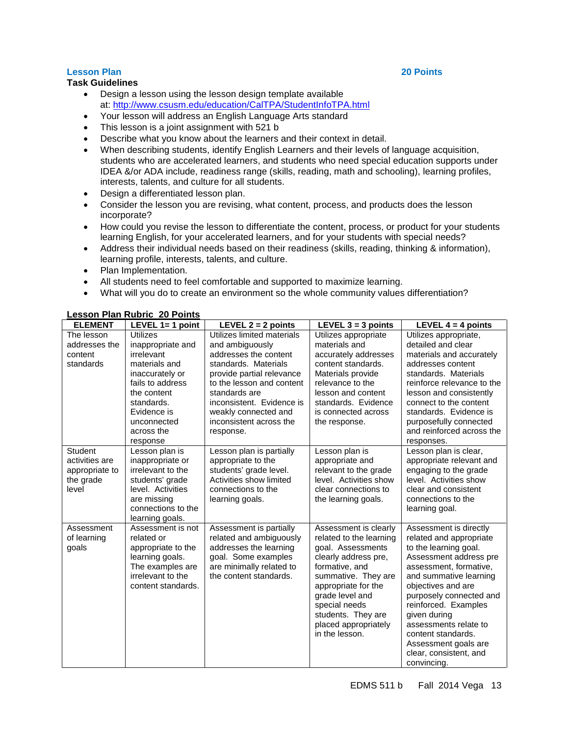## **Lesson Plan 20 Points**

### **Task Guidelines**

- Design a lesson using the lesson design template available at:<http://www.csusm.edu/education/CalTPA/StudentInfoTPA.html>
- Your lesson will address an English Language Arts standard
- This lesson is a joint assignment with 521 b
- Describe what you know about the learners and their context in detail.
- When describing students, identify English Learners and their levels of language acquisition, students who are accelerated learners, and students who need special education supports under IDEA &/or ADA include, readiness range (skills, reading, math and schooling), learning profiles, interests, talents, and culture for all students.
- Design a differentiated lesson plan.
- Consider the lesson you are revising, what content, process, and products does the lesson incorporate?
- How could you revise the lesson to differentiate the content, process, or product for your students learning English, for your accelerated learners, and for your students with special needs?
- Address their individual needs based on their readiness (skills, reading, thinking & information), learning profile, interests, talents, and culture.
- Plan Implementation.
- All students need to feel comfortable and supported to maximize learning.
- What will you do to create an environment so the whole community values differentiation?

| <b>ELEMENT</b>                                                    | LEVEL $1 = 1$ point                                                                                                                                                                             | LEVEL $2 = 2$ points                                                                                                                                                                                                                                                   | LEVEL $3 = 3$ points                                                                                                                                                                                                                                              | LEVEL $4 = 4$ points                                                                                                                                                                                                                                                                                                                                              |
|-------------------------------------------------------------------|-------------------------------------------------------------------------------------------------------------------------------------------------------------------------------------------------|------------------------------------------------------------------------------------------------------------------------------------------------------------------------------------------------------------------------------------------------------------------------|-------------------------------------------------------------------------------------------------------------------------------------------------------------------------------------------------------------------------------------------------------------------|-------------------------------------------------------------------------------------------------------------------------------------------------------------------------------------------------------------------------------------------------------------------------------------------------------------------------------------------------------------------|
| The lesson<br>addresses the<br>content<br>standards               | <b>Utilizes</b><br>inappropriate and<br>irrelevant<br>materials and<br>inaccurately or<br>fails to address<br>the content<br>standards.<br>Evidence is<br>unconnected<br>across the<br>response | Utilizes limited materials<br>and ambiguously<br>addresses the content<br>standards. Materials<br>provide partial relevance<br>to the lesson and content<br>standards are<br>inconsistent. Evidence is<br>weakly connected and<br>inconsistent across the<br>response. | Utilizes appropriate<br>materials and<br>accurately addresses<br>content standards.<br>Materials provide<br>relevance to the<br>lesson and content<br>standards. Evidence<br>is connected across<br>the response.                                                 | Utilizes appropriate,<br>detailed and clear<br>materials and accurately<br>addresses content<br>standards. Materials<br>reinforce relevance to the<br>lesson and consistently<br>connect to the content<br>standards. Evidence is<br>purposefully connected<br>and reinforced across the<br>responses.                                                            |
| Student<br>activities are<br>appropriate to<br>the grade<br>level | Lesson plan is<br>inappropriate or<br>irrelevant to the<br>students' grade<br>level. Activities<br>are missing<br>connections to the<br>learning goals.                                         | Lesson plan is partially<br>appropriate to the<br>students' grade level.<br>Activities show limited<br>connections to the<br>learning goals.                                                                                                                           | Lesson plan is<br>appropriate and<br>relevant to the grade<br>level. Activities show<br>clear connections to<br>the learning goals.                                                                                                                               | Lesson plan is clear,<br>appropriate relevant and<br>engaging to the grade<br>level. Activities show<br>clear and consistent<br>connections to the<br>learning goal.                                                                                                                                                                                              |
| Assessment<br>of learning<br>goals                                | Assessment is not<br>related or<br>appropriate to the<br>learning goals.<br>The examples are<br>irrelevant to the<br>content standards.                                                         | Assessment is partially<br>related and ambiguously<br>addresses the learning<br>goal. Some examples<br>are minimally related to<br>the content standards.                                                                                                              | Assessment is clearly<br>related to the learning<br>goal. Assessments<br>clearly address pre,<br>formative, and<br>summative. They are<br>appropriate for the<br>grade level and<br>special needs<br>students. They are<br>placed appropriately<br>in the lesson. | Assessment is directly<br>related and appropriate<br>to the learning goal.<br>Assessment address pre<br>assessment, formative,<br>and summative learning<br>objectives and are<br>purposely connected and<br>reinforced. Examples<br>given during<br>assessments relate to<br>content standards.<br>Assessment goals are<br>clear, consistent, and<br>convincing. |

#### <span id="page-12-0"></span>**Lesson Plan Rubric 20 Points**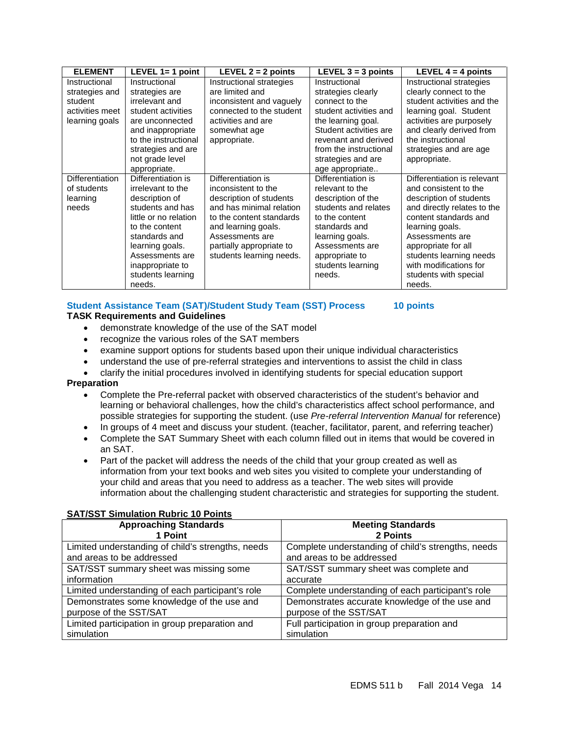| <b>ELEMENT</b>  | LEVEL $1=1$ point     | LEVEL $2 = 2$ points     | LEVEL $3 = 3$ points   | LEVEL $4 = 4$ points        |
|-----------------|-----------------------|--------------------------|------------------------|-----------------------------|
| Instructional   | Instructional         | Instructional strategies | Instructional          | Instructional strategies    |
| strategies and  | strategies are        | are limited and          | strategies clearly     | clearly connect to the      |
| student         | irrelevant and        | inconsistent and vaguely | connect to the         | student activities and the  |
| activities meet | student activities    | connected to the student | student activities and | learning goal. Student      |
| learning goals  | are unconnected       | activities and are       | the learning goal.     | activities are purposely    |
|                 | and inappropriate     | somewhat age             | Student activities are | and clearly derived from    |
|                 | to the instructional  | appropriate.             | revenant and derived   | the instructional           |
|                 | strategies and are    |                          | from the instructional | strategies and are age      |
|                 | not grade level       |                          | strategies and are     | appropriate.                |
|                 | appropriate.          |                          | age appropriate        |                             |
| Differentiation | Differentiation is    | Differentiation is       | Differentiation is     | Differentiation is relevant |
| of students     | irrelevant to the     | inconsistent to the      | relevant to the        | and consistent to the       |
| learning        | description of        | description of students  | description of the     | description of students     |
| needs           | students and has      | and has minimal relation | students and relates   | and directly relates to the |
|                 | little or no relation | to the content standards | to the content         | content standards and       |
|                 | to the content        | and learning goals.      | standards and          | learning goals.             |
|                 | standards and         | Assessments are          | learning goals.        | Assessments are             |
|                 | learning goals.       | partially appropriate to | Assessments are        | appropriate for all         |
|                 | Assessments are       | students learning needs. | appropriate to         | students learning needs     |
|                 | inappropriate to      |                          | students learning      | with modifications for      |
|                 | students learning     |                          | needs.                 | students with special       |
|                 | needs.                |                          |                        | needs.                      |

#### **Student Assistance Team (SAT)/Student Study Team (SST) Process 10 points TASK Requirements and Guidelines**

- demonstrate knowledge of the use of the SAT model
	- recognize the various roles of the SAT members
	- examine support options for students based upon their unique individual characteristics
	- understand the use of pre-referral strategies and interventions to assist the child in class
	- clarify the initial procedures involved in identifying students for special education support

#### **Preparation**

- Complete the Pre-referral packet with observed characteristics of the student's behavior and learning or behavioral challenges, how the child's characteristics affect school performance, and possible strategies for supporting the student. (use *Pre-referral Intervention Manual* for reference)
- In groups of 4 meet and discuss your student. (teacher, facilitator, parent, and referring teacher)
- Complete the SAT Summary Sheet with each column filled out in items that would be covered in an SAT.
- Part of the packet will address the needs of the child that your group created as well as information from your text books and web sites you visited to complete your understanding of your child and areas that you need to address as a teacher. The web sites will provide information about the challenging student characteristic and strategies for supporting the student.

| <b>Approaching Standards</b>                      | <b>Meeting Standards</b>                           |
|---------------------------------------------------|----------------------------------------------------|
| 1 Point                                           | 2 Points                                           |
| Limited understanding of child's strengths, needs | Complete understanding of child's strengths, needs |
| and areas to be addressed                         | and areas to be addressed                          |
| SAT/SST summary sheet was missing some            | SAT/SST summary sheet was complete and             |
| information                                       | accurate                                           |
| Limited understanding of each participant's role  | Complete understanding of each participant's role  |
| Demonstrates some knowledge of the use and        | Demonstrates accurate knowledge of the use and     |
| purpose of the SST/SAT                            | purpose of the SST/SAT                             |
| Limited participation in group preparation and    | Full participation in group preparation and        |
| simulation                                        | simulation                                         |

#### <span id="page-13-0"></span>**SAT/SST Simulation Rubric 10 Points**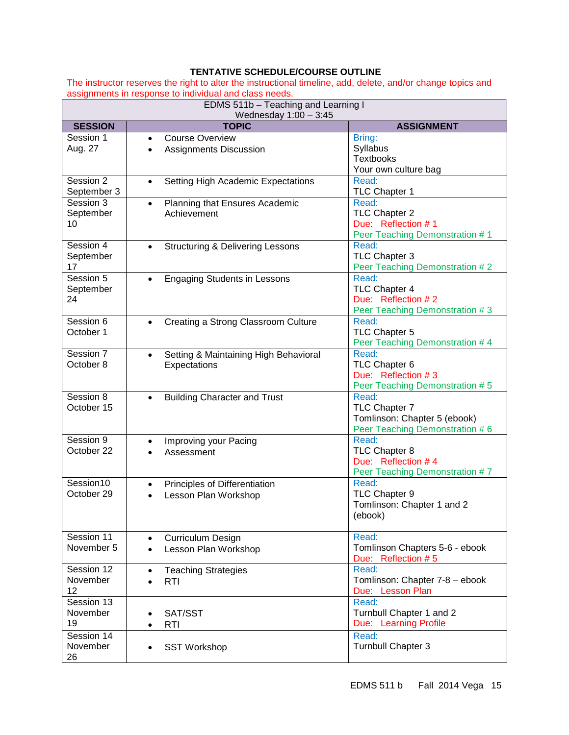### <span id="page-14-0"></span>**TENTATIVE SCHEDULE/COURSE OUTLINE**

The instructor reserves the right to alter the instructional timeline, add, delete, and/or change topics and assignments in response to individual and class needs.

| EDMS 511b - Teaching and Learning I<br>Wednesday $1:00 - 3:45$ |                                                                      |                                                                                          |  |  |
|----------------------------------------------------------------|----------------------------------------------------------------------|------------------------------------------------------------------------------------------|--|--|
| <b>SESSION</b>                                                 | <b>TOPIC</b>                                                         | <b>ASSIGNMENT</b>                                                                        |  |  |
| Session 1<br>Aug. 27                                           | <b>Course Overview</b><br>$\bullet$<br><b>Assignments Discussion</b> | Bring:<br>Syllabus<br><b>Textbooks</b><br>Your own culture bag                           |  |  |
| Session 2<br>September 3                                       | Setting High Academic Expectations                                   | Read:<br>TLC Chapter 1                                                                   |  |  |
| Session 3<br>September<br>10                                   | Planning that Ensures Academic<br>$\bullet$<br>Achievement           | Read:<br>TLC Chapter 2<br>Due: Reflection #1<br>Peer Teaching Demonstration #1           |  |  |
| Session 4<br>September<br>17                                   | <b>Structuring &amp; Delivering Lessons</b><br>$\bullet$             | Read:<br>TLC Chapter 3<br>Peer Teaching Demonstration #2                                 |  |  |
| Session 5<br>September<br>24                                   | <b>Engaging Students in Lessons</b><br>$\bullet$                     | Read:<br>TLC Chapter 4<br>Due: Reflection #2<br>Peer Teaching Demonstration #3           |  |  |
| Session 6<br>October 1                                         | Creating a Strong Classroom Culture                                  | Read:<br>TLC Chapter 5<br>Peer Teaching Demonstration # 4                                |  |  |
| Session 7<br>October 8                                         | Setting & Maintaining High Behavioral<br>$\bullet$<br>Expectations   | Read:<br>TLC Chapter 6<br>Due: Reflection #3<br>Peer Teaching Demonstration #5           |  |  |
| Session 8<br>October 15                                        | <b>Building Character and Trust</b><br>$\bullet$                     | Read:<br>TLC Chapter 7<br>Tomlinson: Chapter 5 (ebook)<br>Peer Teaching Demonstration #6 |  |  |
| Session 9<br>October 22                                        | Improving your Pacing<br>$\bullet$<br>Assessment                     | Read:<br>TLC Chapter 8<br>Due: Reflection #4<br>Peer Teaching Demonstration #7           |  |  |
| Session10<br>October 29                                        | Principles of Differentiation<br>$\bullet$<br>Lesson Plan Workshop   | Read:<br>TLC Chapter 9<br>Tomlinson: Chapter 1 and 2<br>(ebook)                          |  |  |
| Session 11<br>November 5                                       | <b>Curriculum Design</b><br>Lesson Plan Workshop<br>$\bullet$        | Read:<br>Tomlinson Chapters 5-6 - ebook<br>Due: Reflection #5                            |  |  |
| Session 12<br>November<br>12                                   | <b>Teaching Strategies</b><br>$\bullet$<br><b>RTI</b><br>$\bullet$   | Read:<br>Tomlinson: Chapter 7-8 - ebook<br>Due: Lesson Plan                              |  |  |
| Session 13<br>November<br>19                                   | SAT/SST<br><b>RTI</b><br>$\bullet$                                   | Read:<br>Turnbull Chapter 1 and 2<br>Due: Learning Profile                               |  |  |
| Session 14<br>November<br>26                                   | <b>SST Workshop</b>                                                  | Read:<br>Turnbull Chapter 3                                                              |  |  |